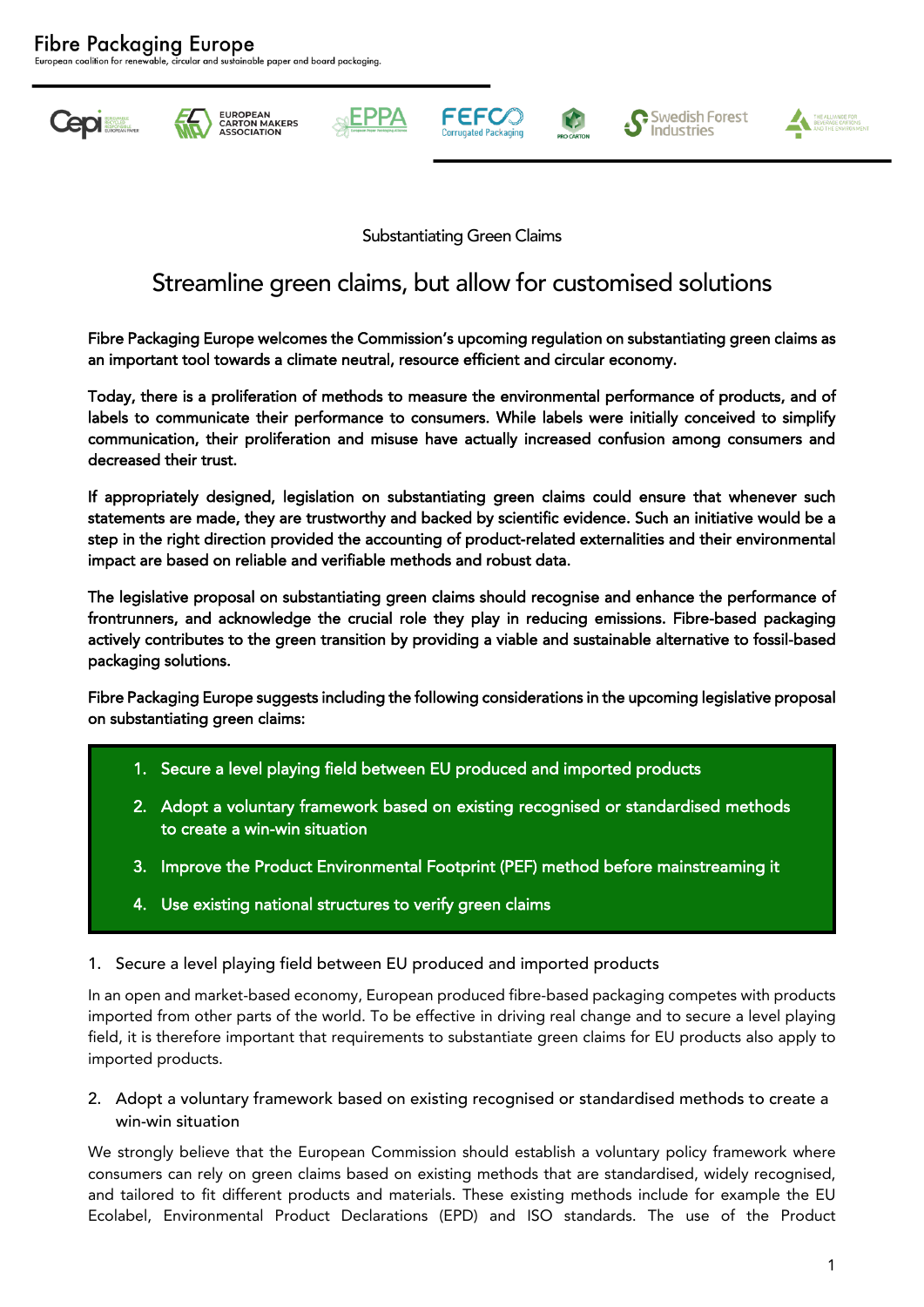ainable paper and board packaging.







EPPA







Substantiating Green Claims

## Streamline green claims, but allow for customised solutions

Fibre Packaging Europe welcomes the Commission's upcoming regulation on substantiating green claims as an important tool towards a climate neutral, resource efficient and circular economy.

Today, there is a proliferation of methods to measure the environmental performance of products, and of labels to communicate their performance to consumers. While labels were initially conceived to simplify communication, their proliferation and misuse have actually increased confusion among consumers and decreased their trust.

If appropriately designed, legislation on substantiating green claims could ensure that whenever such statements are made, they are trustworthy and backed by scientific evidence. Such an initiative would be a step in the right direction provided the accounting of product-related externalities and their environmental impact are based on reliable and verifiable methods and robust data.

The legislative proposal on substantiating green claims should recognise and enhance the performance of frontrunners, and acknowledge the crucial role they play in reducing emissions. Fibre-based packaging actively contributes to the green transition by providing a viable and sustainable alternative to fossil-based packaging solutions.

Fibre Packaging Europe suggests including the following considerations in the upcoming legislative proposal on substantiating green claims:

- 1. Secure a level playing field between EU produced and imported products
- 2. Adopt a voluntary framework based on existing recognised or standardised methods to create a win-win situation
- 3. Improve the Product Environmental Footprint (PEF) method before mainstreaming it
- 4. Use existing national structures to verify green claims

## 1. Secure a level playing field between EU produced and imported products

In an open and market-based economy, European produced fibre-based packaging competes with products imported from other parts of the world. To be effective in driving real change and to secure a level playing field, it is therefore important that requirements to substantiate green claims for EU products also apply to imported products.

2. Adopt a voluntary framework based on existing recognised or standardised methods to create a win-win situation

We strongly believe that the European Commission should establish a voluntary policy framework where consumers can rely on green claims based on existing methods that are standardised, widely recognised, and tailored to fit different products and materials. These existing methods include for example the EU Ecolabel, Environmental Product Declarations (EPD) and ISO standards. The use of the Product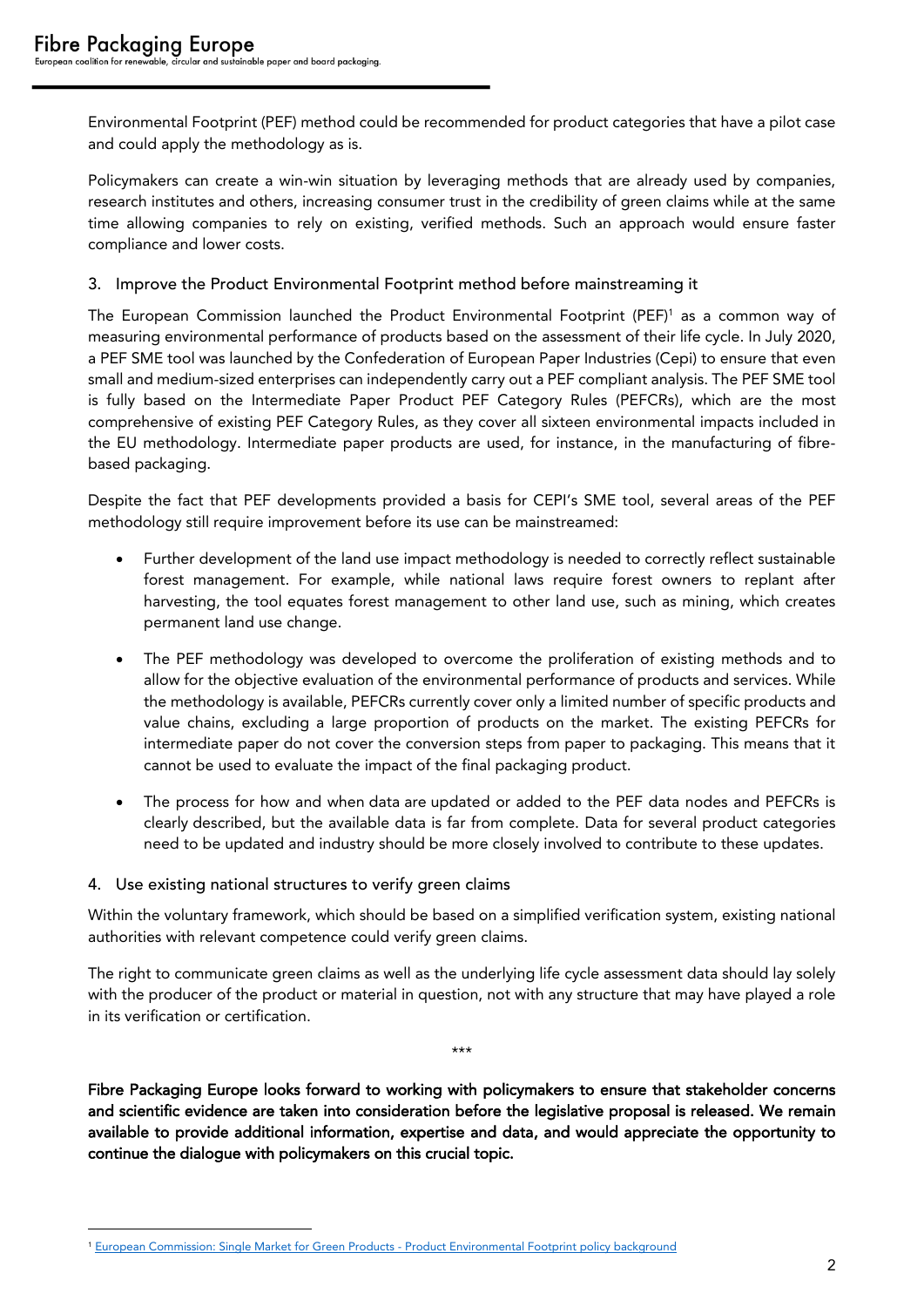Environmental Footprint (PEF) method could be recommended for product categories that have a pilot case and could apply the methodology as is.

Policymakers can create a win-win situation by leveraging methods that are already used by companies, research institutes and others, increasing consumer trust in the credibility of green claims while at the same time allowing companies to rely on existing, verified methods. Such an approach would ensure faster compliance and lower costs.

## 3. Improve the Product Environmental Footprint method before mainstreaming it

The European Commission launched the Product Environmental Footprint (PEF)<sup>1</sup> as a common way of measuring environmental performance of products based on the assessment of their life cycle. In July 2020, a PEF SME tool was launched by the Confederation of European Paper Industries (Cepi) to ensure that even small and medium-sized enterprises can independently carry out a PEF compliant analysis. The PEF SME tool is fully based on the Intermediate Paper Product PEF Category Rules (PEFCRs), which are the most comprehensive of existing PEF Category Rules, as they cover all sixteen environmental impacts included in the EU methodology. Intermediate paper products are used, for instance, in the manufacturing of fibrebased packaging.

Despite the fact that PEF developments provided a basis for CEPI's SME tool, several areas of the PEF methodology still require improvement before its use can be mainstreamed:

- Further development of the land use impact methodology is needed to correctly reflect sustainable forest management. For example, while national laws require forest owners to replant after harvesting, the tool equates forest management to other land use, such as mining, which creates permanent land use change.
- The PEF methodology was developed to overcome the proliferation of existing methods and to allow for the objective evaluation of the environmental performance of products and services. While the methodology is available, PEFCRs currently cover only a limited number of specific products and value chains, excluding a large proportion of products on the market. The existing PEFCRs for intermediate paper do not cover the conversion steps from paper to packaging. This means that it cannot be used to evaluate the impact of the final packaging product.
- The process for how and when data are updated or added to the PEF data nodes and PEFCRs is clearly described, but the available data is far from complete. Data for several product categories need to be updated and industry should be more closely involved to contribute to these updates.
- 4. Use existing national structures to verify green claims

Within the voluntary framework, which should be based on a simplified verification system, existing national authorities with relevant competence could verify green claims.

The right to communicate green claims as well as the underlying life cycle assessment data should lay solely with the producer of the product or material in question, not with any structure that may have played a role in its verification or certification.

\*\*\*

Fibre Packaging Europe looks forward to working with policymakers to ensure that stakeholder concerns and scientific evidence are taken into consideration before the legislative proposal is released. We remain available to provide additional information, expertise and data, and would appreciate the opportunity to continue the dialogue with policymakers on this crucial topic.

<sup>1</sup> [European Commission: Single Market for Green Products -](https://ec.europa.eu/environment/eussd/smgp/policy_footprint.htm) Product Environmental Footprint policy background